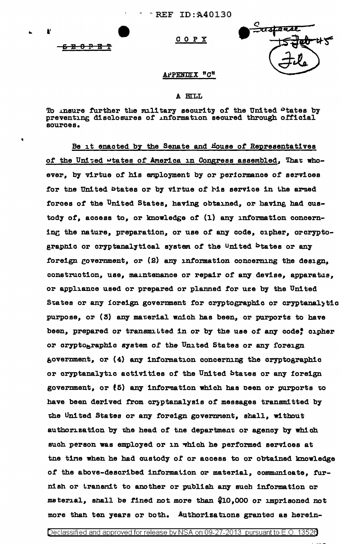COPY

<del>ና 8 0 P B T</del>

<del>-aspen</del>se

## **APPENDIX "C"**

## A BILL

To insure further the military security of the United Ptates by preventing disclosures of information secured through official sources.

Be it enacted by the Senate and House of Representatives of the United wtates of America in Congress assembled, That whoever, by virtue of his employment by or periormance of services for the United States or by virtue of his service in the armed forces of the United States, having obtained, or having had custody of, access to, or knowledge of (1) any information concerning the nature, preparation, or use of any code, cipher, orcryptographic or cryptanalytical system of the United States or any foreign government, or (2) any information concerning the design, construction, use, maintenance or repair of any devise, apparatus, or appliance used or prepared or planned for use by the United States or any ioreign government for cryptographic or cryptanalytic purpose, or (3) any material which has been, or purports to have been, prepared or transmitted in or by the use of any code, cipher or cryptographic system of the United States or any foreign government, or (4) any information concerning the cryptographic or cryptanalytic activities of the United States or any foreign government, or (5) any information which has been or purports to have been derived from cryptanalysis of messages transmitted by the United States or any foreign government, shall, without authorization by the head of the department or agency by which such person was employed or in which he performed services at the time when he had custody of or access to or obtained knowledge of the above-described information or material, communicate, furnish or transmit to another or publish any such information or material, shall be fined not more than \$10,000 or imprisoned not more than ten years or both. Authorizations granted as herein-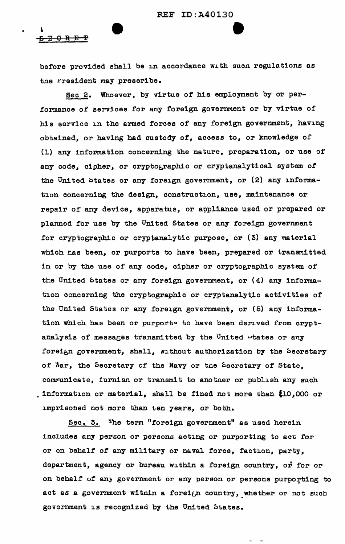## <del>ይ E 0 R E T</del>

•

before provided shall be in accordance with sucn regulations as tne Fresident may prescribe.

Sec 2. Whoever, by virtue of his employment by or performance of services for any foreign government or by virtue of his service in the armed forces of any foreign government, having obtained, or havlng had custody of, access to, or knowledge of (1) any information concerning the nature, preparation, or use or any code, cipher, or cryptographic or cryptanalytical system of the United btates or any foreign government, or  $(2)$  any information concerning the design, construction, use, maintenance or repair of any device, apparatus, or appliance used or prepared or planned for use by the United States or any foreign government for cryptographic or cryptanalytic purpose, or  $(3)$  any material which has been, or purports to have been, prepared or transmitted in or by the use of any code, cipher or cryptographic system of the United btates or any foreign government, or  $(4)$  any information concerning the cryptographic or cryptanalytic activities of the United States or any foreign government, or (5) any information which has been or purports to have been derived from cryptanalysis of messages transmitted by the United wtates or any foreign government, shall, without authorization by the becretary of Mar, the Secretary of the Navy or the Secretary of State, communicate, furnisn or transmit to another or publish any such , information or material, shall be fined not more than  $10,000$  or imprisoned not more than ten years, or both.

Sec. 3. The term "foreign government" as used herein includes any person or persons acting or purporting to act for or on behalf of any military or naval force, faction, party, department, agency or bureau within a foreign country, or for or on behalf of any government or any person or persons purporting to act as a government witnin a foreign country, whether or not such government is recognized by the United btates.